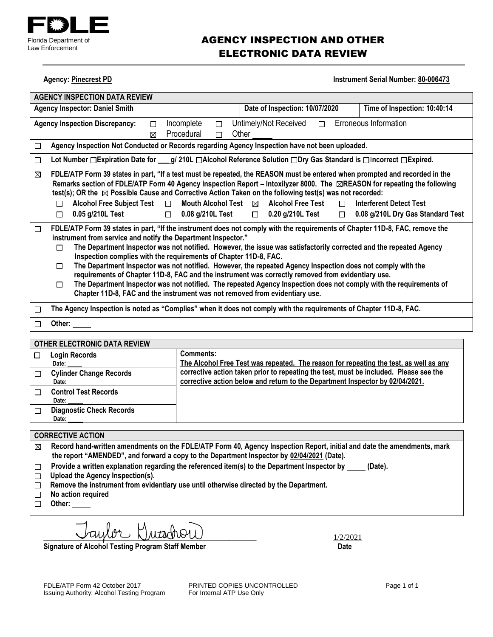

### AGENCY INSPECTION AND OTHER ELECTRONIC DATA REVIEW

**Agency: Pinecrest PD Instrument Serial Number: 80-006473** 

| <b>AGENCY INSPECTION DATA REVIEW</b>                                                                                                                                                                                                                                                                                                                                                             |                                                                                                  |  |  |  |
|--------------------------------------------------------------------------------------------------------------------------------------------------------------------------------------------------------------------------------------------------------------------------------------------------------------------------------------------------------------------------------------------------|--------------------------------------------------------------------------------------------------|--|--|--|
| Date of Inspection: 10/07/2020<br>Time of Inspection: 10:40:14<br><b>Agency Inspector: Daniel Smith</b>                                                                                                                                                                                                                                                                                          |                                                                                                  |  |  |  |
| Erroneous Information<br>Untimely/Not Received<br>Incomplete<br><b>Agency Inspection Discrepancy:</b><br>$\Box$<br>$\Box$<br>$\Box$                                                                                                                                                                                                                                                              |                                                                                                  |  |  |  |
| Procedural<br>$\Box$<br>⊠                                                                                                                                                                                                                                                                                                                                                                        | Other                                                                                            |  |  |  |
| Agency Inspection Not Conducted or Records regarding Agency Inspection have not been uploaded.<br>□                                                                                                                                                                                                                                                                                              |                                                                                                  |  |  |  |
| Lot Number $\Box$ Expiration Date for $g/210L$ $\Box$ Alcohol Reference Solution $\Box$ Pry Gas Standard is $\Box$ Incorrect $\Box$ Expired.<br>□                                                                                                                                                                                                                                                |                                                                                                  |  |  |  |
| FDLE/ATP Form 39 states in part, "If a test must be repeated, the REASON must be entered when prompted and recorded in the<br>⊠<br>Remarks section of FDLE/ATP Form 40 Agency Inspection Report – Intoxilyzer 8000. The <b>EREASON</b> for repeating the following<br>test(s); OR the $\boxtimes$ Possible Cause and Corrective Action Taken on the following test(s) was not recorded:          |                                                                                                  |  |  |  |
| Alcohol Free Subject Test □<br>Mouth Alcohol Test $\boxtimes$<br>п                                                                                                                                                                                                                                                                                                                               | <b>Alcohol Free Test</b><br><b>Interferent Detect Test</b><br>$\Box$                             |  |  |  |
| 0.05 g/210L Test<br>□<br>$\Box$                                                                                                                                                                                                                                                                                                                                                                  | $0.08$ g/210L Test $\qquad \Box$ 0.20 g/210L Test<br>0.08 g/210L Dry Gas Standard Test<br>$\Box$ |  |  |  |
| FDLE/ATP Form 39 states in part, "If the instrument does not comply with the requirements of Chapter 11D-8, FAC, remove the<br>□<br>instrument from service and notify the Department Inspector."<br>The Department Inspector was not notified. However, the issue was satisfactorily corrected and the repeated Agency<br>П<br>Inspection complies with the requirements of Chapter 11D-8, FAC. |                                                                                                  |  |  |  |
| The Department Inspector was not notified. However, the repeated Agency Inspection does not comply with the<br>П<br>requirements of Chapter 11D-8, FAC and the instrument was correctly removed from evidentiary use.                                                                                                                                                                            |                                                                                                  |  |  |  |
| The Department Inspector was not notified. The repeated Agency Inspection does not comply with the requirements of<br>П<br>Chapter 11D-8, FAC and the instrument was not removed from evidentiary use.                                                                                                                                                                                           |                                                                                                  |  |  |  |
| The Agency Inspection is noted as "Complies" when it does not comply with the requirements of Chapter 11D-8, FAC.<br>П                                                                                                                                                                                                                                                                           |                                                                                                  |  |  |  |
| Other: $\_\_$<br>⊓                                                                                                                                                                                                                                                                                                                                                                               |                                                                                                  |  |  |  |
| <b>OTHER ELECTRONIC DATA REVIEW</b>                                                                                                                                                                                                                                                                                                                                                              |                                                                                                  |  |  |  |
| Comments:<br><b>Login Records</b><br>П                                                                                                                                                                                                                                                                                                                                                           |                                                                                                  |  |  |  |

| <b>Login Records</b><br>Date:            | <b>Comments:</b><br>The Alcohol Free Test was repeated. The reason for repeating the test, as well as any                                                              |
|------------------------------------------|------------------------------------------------------------------------------------------------------------------------------------------------------------------------|
| <b>Cylinder Change Records</b><br>Date:  | corrective action taken prior to repeating the test, must be included. Please see the<br>corrective action below and return to the Department Inspector by 02/04/2021. |
| <b>Control Test Records</b><br>Date:     |                                                                                                                                                                        |
| <b>Diagnostic Check Records</b><br>Date: |                                                                                                                                                                        |

### **CORRECTIVE ACTION**

- **Record hand-written amendments on the FDLE/ATP Form 40, Agency Inspection Report, initial and date the amendments, mark**   $\boxtimes$ **the report "AMENDED", and forward a copy to the Department Inspector by 02/04/2021 (Date).**
- Provide a written explanation regarding the referenced item(s) to the Department Inspector by \_\_\_\_\_ (Date).  $\Box$
- **Upload the Agency Inspection(s).**
- **Remove the instrument from evidentiary use until otherwise directed by the Department.**
- **No action required**  $\Box$
- **Other:**

 $\Box$  [utd of  $\mathcal{O}(L)$ 

**Signature of Alcohol Testing Program Staff Member Constraining Date Date**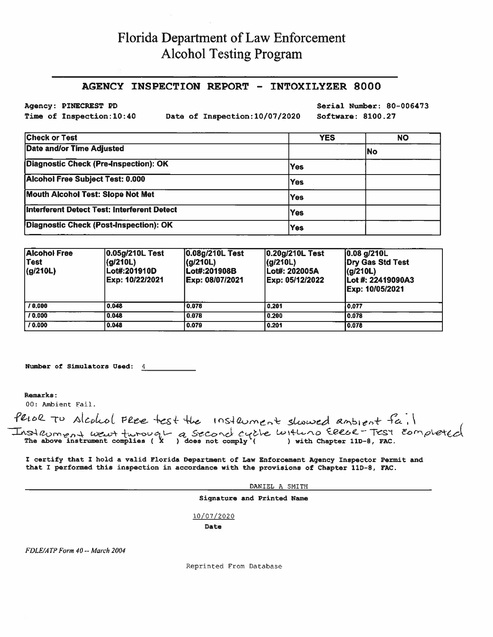# Florida Department of Law Enforcement **Alcohol Testing Program**

#### AGENCY INSPECTION REPORT - INTOXILYZER 8000

Agency: PINECREST PD Time of Inspection: 10:40

Date of Inspection: 10/07/2020

Serial Number: 80-006473 Software: 8100.27

| <b>Check or Test</b>                               | <b>YES</b> | NΟ |
|----------------------------------------------------|------------|----|
| <b>Date and/or Time Adjusted</b>                   |            | No |
| Diagnostic Check (Pre-Inspection): OK              | <b>Yes</b> |    |
| Alcohol Free Subject Test: 0.000                   | <b>Yes</b> |    |
| <b>Mouth Alcohol Test: Slope Not Met</b>           | <b>Yes</b> |    |
| <b>Interferent Detect Test: Interferent Detect</b> | <b>Yes</b> |    |
| Diagnostic Check (Post-Inspection): OK             | <b>Yes</b> |    |

| <b>Alcohol Free</b><br>Test<br>(g/210L) | 0.05g/210L Test<br>(g/210L)<br>Lot#:201910D<br>Exp: 10/22/2021 | 0.08g/210L Test<br> (g/210L)<br>lLot#:201908B<br>Exp: 08/07/2021 | 0.20g/210L Test<br> (q/210L)<br>lLot#: 202005A<br>Exp: 05/12/2022 | $[0.08]$ g/210L<br>Dry Gas Std Test<br>(g/210L)<br>Lot #: 22419090A3<br>Exp: 10/05/2021 |
|-----------------------------------------|----------------------------------------------------------------|------------------------------------------------------------------|-------------------------------------------------------------------|-----------------------------------------------------------------------------------------|
| 10.000                                  | 0.048                                                          | 0.078                                                            | 0.201                                                             | 10.077                                                                                  |
| 10,000                                  | 0.048                                                          | 0.078                                                            | 0.200                                                             | 0.078                                                                                   |
| 10.000                                  | 0.048                                                          | 0.079                                                            | 0.201                                                             | 0.078                                                                                   |

Number of Simulators Used: 4

Remarks:

00: Ambient Fail.

Perol To Alcohol Flee test the Instrument showed ambient fail Instrument went turough a second cycle with no Ellel Test completed

I certify that I hold a valid Florida Department of Law Enforcement Agency Inspector Permit and that I performed this inspection in accordance with the provisions of Chapter 11D-8, FAC.

DANIEL A SMITH

Signature and Printed Name

10/07/2020

Date

FDLE/ATP Form 40 -- March 2004

Reprinted From Database